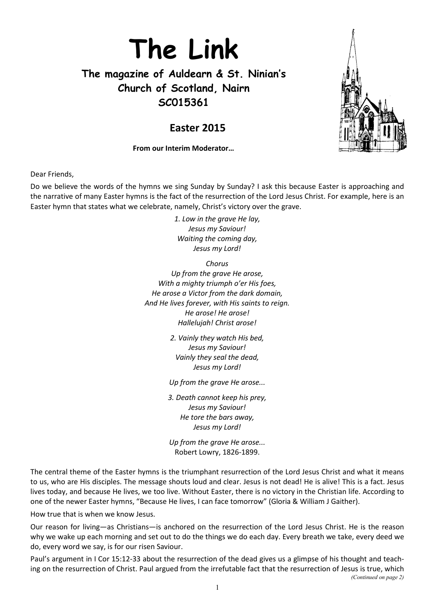# The Link

# The magazine of Auldearn & St. Ninian's Church of Scotland, Nairn SC015361

# Easter 2015

From our Interim Moderator…



Dear Friends,

Do we believe the words of the hymns we sing Sunday by Sunday? I ask this because Easter is approaching and the narrative of many Easter hymns is the fact of the resurrection of the Lord Jesus Christ. For example, here is an Easter hymn that states what we celebrate, namely, Christ's victory over the grave.

> 1. Low in the grave He lay, Jesus my Saviour! Waiting the coming day, Jesus my Lord!

> > Chorus

Up from the grave He arose, With a mighty triumph o'er His foes, He arose a Victor from the dark domain, And He lives forever, with His saints to reign. He arose! He arose! Hallelujah! Christ arose!

> 2. Vainly they watch His bed, Jesus my Saviour! Vainly they seal the dead, Jesus my Lord!

Up from the grave He arose...

3. Death cannot keep his prey, Jesus my Saviour! He tore the bars away, Jesus my Lord!

Up from the grave He arose... Robert Lowry, 1826-1899.

The central theme of the Easter hymns is the triumphant resurrection of the Lord Jesus Christ and what it means to us, who are His disciples. The message shouts loud and clear. Jesus is not dead! He is alive! This is a fact. Jesus lives today, and because He lives, we too live. Without Easter, there is no victory in the Christian life. According to one of the newer Easter hymns, "Because He lives, I can face tomorrow" (Gloria & William J Gaither).

How true that is when we know Jesus.

Our reason for living—as Christians—is anchored on the resurrection of the Lord Jesus Christ. He is the reason why we wake up each morning and set out to do the things we do each day. Every breath we take, every deed we do, every word we say, is for our risen Saviour.

Paul's argument in I Cor 15:12-33 about the resurrection of the dead gives us a glimpse of his thought and teaching on the resurrection of Christ. Paul argued from the irrefutable fact that the resurrection of Jesus is true, which (Continued on page 2)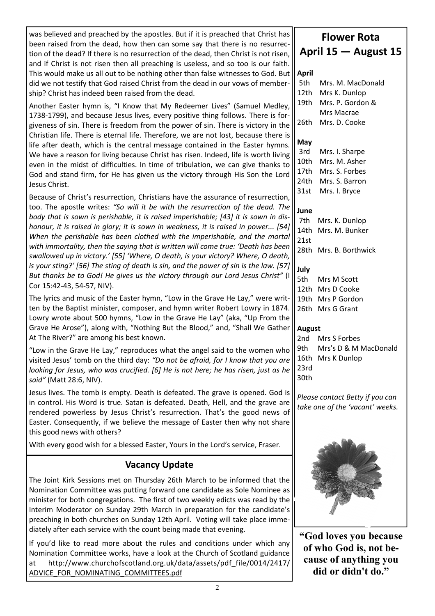was believed and preached by the apostles. But if it is preached that Christ has been raised from the dead, how then can some say that there is no resurrection of the dead? If there is no resurrection of the dead, then Christ is not risen, and if Christ is not risen then all preaching is useless, and so too is our faith. This would make us all out to be nothing other than false witnesses to God. But did we not testify that God raised Christ from the dead in our vows of membership? Christ has indeed been raised from the dead.

Another Easter hymn is, "I Know that My Redeemer Lives" (Samuel Medley, 1738-1799), and because Jesus lives, every positive thing follows. There is forgiveness of sin. There is freedom from the power of sin. There is victory in the Christian life. There is eternal life. Therefore, we are not lost, because there is life after death, which is the central message contained in the Easter hymns. We have a reason for living because Christ has risen. Indeed, life is worth living even in the midst of difficulties. In time of tribulation, we can give thanks to God and stand firm, for He has given us the victory through His Son the Lord Jesus Christ.

Because of Christ's resurrection, Christians have the assurance of resurrection, too. The apostle writes: "So will it be with the resurrection of the dead. The body that is sown is perishable, it is raised imperishable; [43] it is sown in dishonour, it is raised in glory; it is sown in weakness, it is raised in power... [54] When the perishable has been clothed with the imperishable, and the mortal with immortality, then the saying that is written will come true: 'Death has been swallowed up in victory.' [55] 'Where, O death, is your victory? Where, O death, is your sting?' [56] The sting of death is sin, and the power of sin is the law. [57] But thanks be to God! He gives us the victory through our Lord Jesus Christ" (I Cor 15:42-43, 54-57, NIV).

The lyrics and music of the Easter hymn, "Low in the Grave He Lay," were written by the Baptist minister, composer, and hymn writer Robert Lowry in 1874. Lowry wrote about 500 hymns, "Low in the Grave He Lay" (aka, "Up From the Grave He Arose"), along with, "Nothing But the Blood," and, "Shall We Gather At The River?" are among his best known.

"Low in the Grave He Lay," reproduces what the angel said to the women who visited Jesus' tomb on the third day: "Do not be afraid, for I know that you are looking for Jesus, who was crucified. [6] He is not here; he has risen, just as he said" (Matt 28:6, NIV).

Jesus lives. The tomb is empty. Death is defeated. The grave is opened. God is in control. His Word is true. Satan is defeated. Death, Hell, and the grave are rendered powerless by Jesus Christ's resurrection. That's the good news of Easter. Consequently, if we believe the message of Easter then why not share this good news with others?

With every good wish for a blessed Easter, Yours in the Lord's service, Fraser.

## Vacancy Update

The Joint Kirk Sessions met on Thursday 26th March to be informed that the Nomination Committee was putting forward one candidate as Sole Nominee as minister for both congregations. The first of two weekly edicts was read by the Interim Moderator on Sunday 29th March in preparation for the candidate's preaching in both churches on Sunday 12th April. Voting will take place immediately after each service with the count being made that evening.

If you'd like to read more about the rules and conditions under which any Nomination Committee works, have a look at the Church of Scotland guidance at http://www.churchofscotland.org.uk/data/assets/pdf\_file/0014/2417/ ADVICE\_FOR\_NOMINATING\_COMMITTEES.pdf

# Flower Rota April 15 — August 15

## April

 5th Mrs. M. MacDonald 12th Mrs K. Dunlop 19th Mrs. P. Gordon & Mrs Macrae 26th Mrs. D. Cooke

## May

 3rd Mrs. I. Sharpe 10th Mrs. M. Asher 17th Mrs. S. Forbes 24th Mrs. S. Barron 31st Mrs. I. Bryce

## June

 7th Mrs. K. Dunlop 14th Mrs. M. Bunker 21st

28th Mrs. B. Borthwick

## July

5th Mrs M Scott 12th Mrs D Cooke 19th Mrs P Gordon 26th Mrs G Grant

## August

2nd Mrs S Forbes 9th Mrs's D & M MacDonald 16th Mrs K Dunlop 23rd 30th

Please contact Betty if you can take one of the 'vacant' weeks.



"God loves you because of who God is, not because of anything you did or didn't do."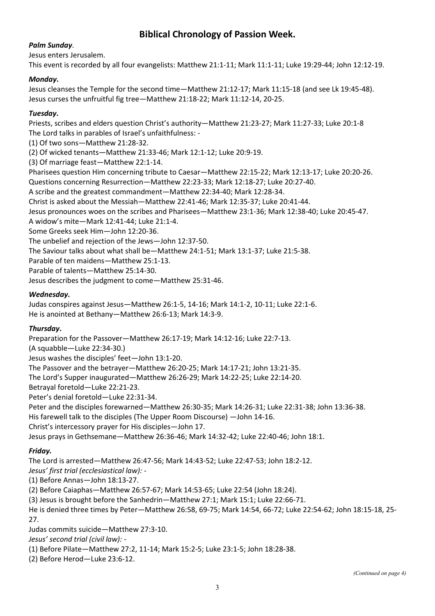## Biblical Chronology of Passion Week.

## Palm Sunday.

Jesus enters Jerusalem.

This event is recorded by all four evangelists: Matthew 21:1-11; Mark 11:1-11; Luke 19:29-44; John 12:12-19.

## Monday.

Jesus cleanses the Temple for the second time—Matthew 21:12-17; Mark 11:15-18 (and see Lk 19:45-48). Jesus curses the unfruitful fig tree—Matthew 21:18-22; Mark 11:12-14, 20-25.

## Tuesday.

Priests, scribes and elders question Christ's authority—Matthew 21:23-27; Mark 11:27-33; Luke 20:1-8 The Lord talks in parables of Israel's unfaithfulness: - (1) Of two sons—Matthew 21:28-32. (2) Of wicked tenants—Matthew 21:33-46; Mark 12:1-12; Luke 20:9-19. (3) Of marriage feast—Matthew 22:1-14. Pharisees question Him concerning tribute to Caesar—Matthew 22:15-22; Mark 12:13-17; Luke 20:20-26. Questions concerning Resurrection—Matthew 22:23-33; Mark 12:18-27; Luke 20:27-40. A scribe and the greatest commandment—Matthew 22:34-40; Mark 12:28-34. Christ is asked about the Messiah—Matthew 22:41-46; Mark 12:35-37; Luke 20:41-44. Jesus pronounces woes on the scribes and Pharisees—Matthew 23:1-36; Mark 12:38-40; Luke 20:45-47. A widow's mite—Mark 12:41-44; Luke 21:1-4. Some Greeks seek Him—John 12:20-36. The unbelief and rejection of the Jews—John 12:37-50. The Saviour talks about what shall be—Matthew 24:1-51; Mark 13:1-37; Luke 21:5-38. Parable of ten maidens—Matthew 25:1-13. Parable of talents—Matthew 25:14-30. Jesus describes the judgment to come—Matthew 25:31-46.

## Wednesday.

Judas conspires against Jesus—Matthew 26:1-5, 14-16; Mark 14:1-2, 10-11; Luke 22:1-6. He is anointed at Bethany—Matthew 26:6-13; Mark 14:3-9.

## Thursday.

Preparation for the Passover—Matthew 26:17-19; Mark 14:12-16; Luke 22:7-13.

(A squabble—Luke 22:34-30.)

Jesus washes the disciples' feet—John 13:1-20.

The Passover and the betrayer—Matthew 26:20-25; Mark 14:17-21; John 13:21-35.

The Lord's Supper inaugurated—Matthew 26:26-29; Mark 14:22-25; Luke 22:14-20.

Betrayal foretold—Luke 22:21-23.

Peter's denial foretold—Luke 22:31-34.

Peter and the disciples forewarned—Matthew 26:30-35; Mark 14:26-31; Luke 22:31-38; John 13:36-38.

His farewell talk to the disciples (The Upper Room Discourse) —John 14-16.

Christ's intercessory prayer for His disciples—John 17.

Jesus prays in Gethsemane—Matthew 26:36-46; Mark 14:32-42; Luke 22:40-46; John 18:1.

## Friday.

The Lord is arrested—Matthew 26:47-56; Mark 14:43-52; Luke 22:47-53; John 18:2-12.

Jesus' first trial (ecclesiastical law): -

(1) Before Annas—John 18:13-27.

(2) Before Caiaphas—Matthew 26:57-67; Mark 14:53-65; Luke 22:54 (John 18:24).

(3) Jesus is brought before the Sanhedrin—Matthew 27:1; Mark 15:1; Luke 22:66-71.

He is denied three times by Peter—Matthew 26:58, 69-75; Mark 14:54, 66-72; Luke 22:54-62; John 18:15-18, 25- 27.

Judas commits suicide—Matthew 27:3-10.

Jesus' second trial (civil law): -

(1) Before Pilate—Matthew 27:2, 11-14; Mark 15:2-5; Luke 23:1-5; John 18:28-38.

(2) Before Herod—Luke 23:6-12.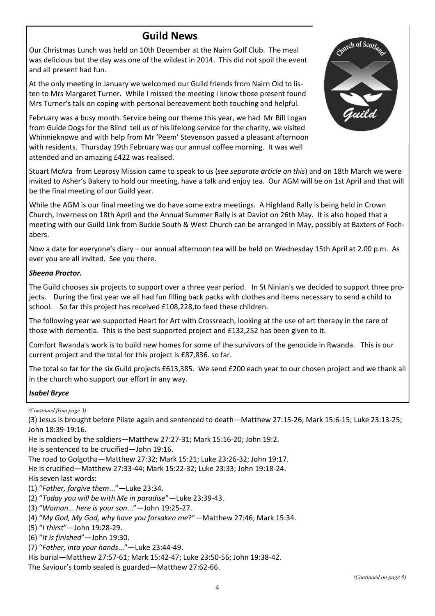## Guild News

Our Christmas Lunch was held on 10th December at the Nairn Golf Club. The meal was delicious but the day was one of the wildest in 2014. This did not spoil the event and all present had fun.

At the only meeting in January we welcomed our Guild friends from Nairn Old to listen to Mrs Margaret Turner. While I missed the meeting I know those present found Mrs Turner's talk on coping with personal bereavement both touching and helpful.

February was a busy month. Service being our theme this year, we had Mr Bill Logan from Guide Dogs for the Blind tell us of his lifelong service for the charity, we visited Whinnieknowe and with help from Mr 'Peem' Stevenson passed a pleasant afternoon with residents. Thursday 19th February was our annual coffee morning. It was well attended and an amazing £422 was realised.

Stuart McAra from Leprosy Mission came to speak to us (see separate article on this) and on 18th March we were invited to Asher's Bakery to hold our meeting, have a talk and enjoy tea. Our AGM will be on 1st April and that will be the final meeting of our Guild year.

While the AGM is our final meeting we do have some extra meetings. A Highland Rally is being held in Crown Church, Inverness on 18th April and the Annual Summer Rally is at Daviot on 26th May. It is also hoped that a meeting with our Guild Link from Buckie South & West Church can be arranged in May, possibly at Baxters of Fochabers.

Now a date for everyone's diary – our annual afternoon tea will be held on Wednesday 15th April at 2.00 p.m. As ever you are all invited. See you there.

## Sheena Proctor.

The Guild chooses six projects to support over a three year period. In St Ninian's we decided to support three projects. During the first year we all had fun filling back packs with clothes and items necessary to send a child to school. So far this project has received £108,228,to feed these children.

The following year we supported Heart for Art with Crossreach, looking at the use of art therapy in the care of those with dementia. This is the best supported project and £132,252 has been given to it.

Comfort Rwanda's work is to build new homes for some of the survivors of the genocide in Rwanda. This is our current project and the total for this project is £87,836. so far.

The total so far for the six Guild projects £613,385. We send £200 each year to our chosen project and we thank all in the church who support our effort in any way.

#### Isabel Bryce

(Continued from page 3)

(3) Jesus is brought before Pilate again and sentenced to death—Matthew 27:15-26; Mark 15:6-15; Luke 23:13-25; John 18:39-19:16.

He is mocked by the soldiers—Matthew 27:27-31; Mark 15:16-20; John 19:2.

He is sentenced to be crucified—John 19:16.

The road to Golgotha—Matthew 27:32; Mark 15:21; Luke 23:26-32; John 19:17.

He is crucified—Matthew 27:33-44; Mark 15:22-32; Luke 23:33; John 19:18-24.

His seven last words:

(1) "Father, forgive them..."—Luke 23:34.

- (2) "Today you will be with Me in paradise"—Luke 23:39-43.
- (3) "Woman... here is your son..."—John 19:25-27.
- (4) "My God, My God, why have you forsaken me?"—Matthew 27:46; Mark 15:34.
- (5) "I thirst"—John 19:28-29.
- (6) "It is finished"—John 19:30.
- (7) "Father, into your hands..."—Luke 23:44-49.

His burial—Matthew 27:57-61; Mark 15:42-47; Luke 23:50-56; John 19:38-42.

The Saviour's tomb sealed is guarded—Matthew 27:62-66.

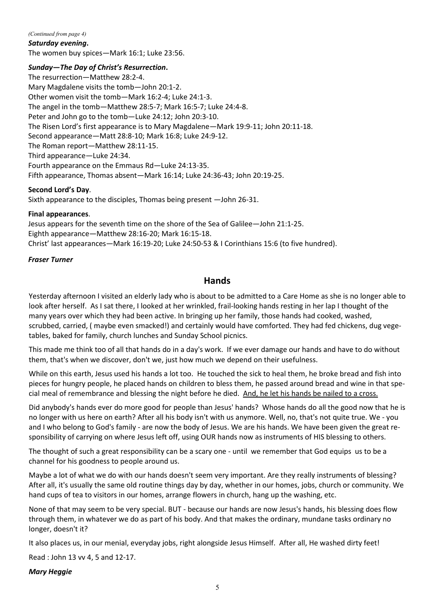(Continued from page 4)

Saturday evening.

The women buy spices—Mark 16:1; Luke 23:56.

#### Sunday—The Day of Christ's Resurrection.

The resurrection—Matthew 28:2-4. Mary Magdalene visits the tomb—John 20:1-2. Other women visit the tomb—Mark 16:2-4; Luke 24:1-3. The angel in the tomb—Matthew 28:5-7; Mark 16:5-7; Luke 24:4-8. Peter and John go to the tomb—Luke 24:12; John 20:3-10. The Risen Lord's first appearance is to Mary Magdalene—Mark 19:9-11; John 20:11-18. Second appearance—Matt 28:8-10; Mark 16:8; Luke 24:9-12. The Roman report—Matthew 28:11-15. Third appearance—Luke 24:34. Fourth appearance on the Emmaus Rd—Luke 24:13-35. Fifth appearance, Thomas absent—Mark 16:14; Luke 24:36-43; John 20:19-25.

## Second Lord's Day.

Sixth appearance to the disciples, Thomas being present —John 26-31.

#### Final appearances.

Jesus appears for the seventh time on the shore of the Sea of Galilee—John 21:1-25. Eighth appearance—Matthew 28:16-20; Mark 16:15-18. Christ' last appearances—Mark 16:19-20; Luke 24:50-53 & I Corinthians 15:6 (to five hundred).

## Fraser Turner

## Hands

Yesterday afternoon I visited an elderly lady who is about to be admitted to a Care Home as she is no longer able to look after herself. As I sat there, I looked at her wrinkled, frail-looking hands resting in her lap I thought of the many years over which they had been active. In bringing up her family, those hands had cooked, washed, scrubbed, carried, ( maybe even smacked!) and certainly would have comforted. They had fed chickens, dug vegetables, baked for family, church lunches and Sunday School picnics.

This made me think too of all that hands do in a day's work. If we ever damage our hands and have to do without them, that's when we discover, don't we, just how much we depend on their usefulness.

While on this earth, Jesus used his hands a lot too. He touched the sick to heal them, he broke bread and fish into pieces for hungry people, he placed hands on children to bless them, he passed around bread and wine in that special meal of remembrance and blessing the night before he died. And, he let his hands be nailed to a cross.

Did anybody's hands ever do more good for people than Jesus' hands? Whose hands do all the good now that he is no longer with us here on earth? After all his body isn't with us anymore. Well, no, that's not quite true. We - you and I who belong to God's family - are now the body of Jesus. We are his hands. We have been given the great responsibility of carrying on where Jesus left off, using OUR hands now as instruments of HIS blessing to others.

The thought of such a great responsibility can be a scary one - until we remember that God equips us to be a channel for his goodness to people around us.

Maybe a lot of what we do with our hands doesn't seem very important. Are they really instruments of blessing? After all, it's usually the same old routine things day by day, whether in our homes, jobs, church or community. We hand cups of tea to visitors in our homes, arrange flowers in church, hang up the washing, etc.

None of that may seem to be very special. BUT - because our hands are now Jesus's hands, his blessing does flow through them, in whatever we do as part of his body. And that makes the ordinary, mundane tasks ordinary no longer, doesn't it?

It also places us, in our menial, everyday jobs, right alongside Jesus Himself. After all, He washed dirty feet!

Read : John 13 vv 4, 5 and 12-17.

Mary Heggie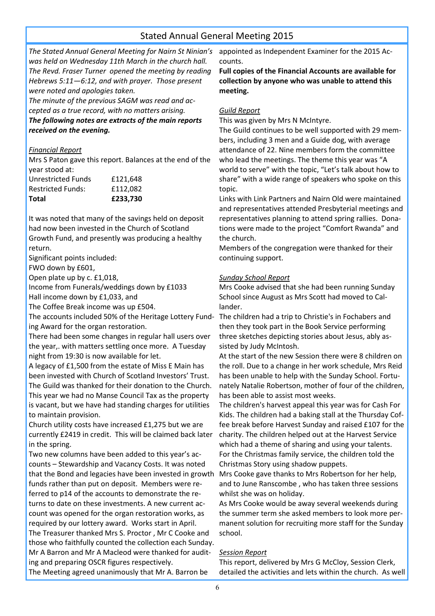## Stated Annual General Meeting 2015

The Stated Annual General Meeting for Nairn St Ninian's appointed as Independent Examiner for the 2015 Acwas held on Wednesday 11th March in the church hall. The Revd. Fraser Turner opened the meeting by reading Hebrews 5:11—6:12, and with prayer. Those present were noted and apologies taken.

The minute of the previous SAGM was read and accepted as a true record, with no matters arising. The following notes are extracts of the main reports received on the evening.

#### Financial Report

Mrs S Paton gave this report. Balances at the end of the year stood at:

| Total              | £233.730 |
|--------------------|----------|
| Restricted Funds:  | £112.082 |
| Unrestricted Funds | £121,648 |

It was noted that many of the savings held on deposit had now been invested in the Church of Scotland Growth Fund, and presently was producing a healthy return.

Significant points included:

FWO down by £601,

Open plate up by c. £1,018,

Income from Funerals/weddings down by £1033

Hall income down by £1,033, and

The Coffee Break income was up £504.

The accounts included 50% of the Heritage Lottery Fund- The children had a trip to Christie's in Fochabers and ing Award for the organ restoration.

There had been some changes in regular hall users over the year,. with matters settling once more. A Tuesday night from 19:30 is now available for let.

A legacy of £1,500 from the estate of Miss E Main has been invested with Church of Scotland Investors' Trust. The Guild was thanked for their donation to the Church. This year we had no Manse Council Tax as the property is vacant, but we have had standing charges for utilities to maintain provision.

Church utility costs have increased £1,275 but we are currently £2419 in credit. This will be claimed back later in the spring.

Two new columns have been added to this year's accounts – Stewardship and Vacancy Costs. It was noted that the Bond and legacies have been invested in growth funds rather than put on deposit. Members were referred to p14 of the accounts to demonstrate the returns to date on these investments. A new current account was opened for the organ restoration works, as required by our lottery award. Works start in April. The Treasurer thanked Mrs S. Proctor , Mr C Cooke and those who faithfully counted the collection each Sunday. Mr A Barron and Mr A Macleod were thanked for auditing and preparing OSCR figures respectively. The Meeting agreed unanimously that Mr A. Barron be

counts.

Full copies of the Financial Accounts are available for collection by anyone who was unable to attend this meeting.

## Guild Report

This was given by Mrs N McIntyre.

The Guild continues to be well supported with 29 members, including 3 men and a Guide dog, with average attendance of 22. Nine members form the committee who lead the meetings. The theme this year was "A world to serve" with the topic, "Let's talk about how to share" with a wide range of speakers who spoke on this topic.

Links with Link Partners and Nairn Old were maintained and representatives attended Presbyterial meetings and representatives planning to attend spring rallies. Donations were made to the project "Comfort Rwanda" and the church.

Members of the congregation were thanked for their continuing support.

#### Sunday School Report

Mrs Cooke advised that she had been running Sunday School since August as Mrs Scott had moved to Callander.

then they took part in the Book Service performing three sketches depicting stories about Jesus, ably assisted by Judy McIntosh.

At the start of the new Session there were 8 children on the roll. Due to a change in her work schedule, Mrs Reid has been unable to help with the Sunday School. Fortunately Natalie Robertson, mother of four of the children, has been able to assist most weeks.

The children's harvest appeal this year was for Cash For Kids. The children had a baking stall at the Thursday Coffee break before Harvest Sunday and raised £107 for the charity. The children helped out at the Harvest Service which had a theme of sharing and using your talents. For the Christmas family service, the children told the Christmas Story using shadow puppets.

Mrs Cooke gave thanks to Mrs Robertson for her help, and to June Ranscombe , who has taken three sessions whilst she was on holiday.

As Mrs Cooke would be away several weekends during the summer term she asked members to look more permanent solution for recruiting more staff for the Sunday school.

#### Session Report

This report, delivered by Mrs G McCloy, Session Clerk, detailed the activities and lets within the church. As well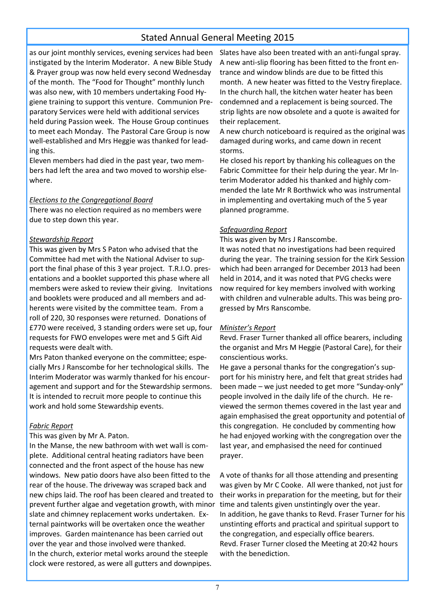## Stated Annual General Meeting 2015

as our joint monthly services, evening services had been instigated by the Interim Moderator. A new Bible Study & Prayer group was now held every second Wednesday of the month. The "Food for Thought" monthly lunch was also new, with 10 members undertaking Food Hygiene training to support this venture. Communion Preparatory Services were held with additional services held during Passion week. The House Group continues to meet each Monday. The Pastoral Care Group is now well-established and Mrs Heggie was thanked for leading this.

Eleven members had died in the past year, two members had left the area and two moved to worship elsewhere.

#### Elections to the Congregational Board

There was no election required as no members were due to step down this year.

## Stewardship Report

This was given by Mrs S Paton who advised that the Committee had met with the National Adviser to support the final phase of this 3 year project. T.R.I.O. presentations and a booklet supported this phase where all members were asked to review their giving. Invitations and booklets were produced and all members and adherents were visited by the committee team. From a roll of 220, 30 responses were returned. Donations of £770 were received, 3 standing orders were set up, four requests for FWO envelopes were met and 5 Gift Aid requests were dealt with.

Mrs Paton thanked everyone on the committee; especially Mrs J Ranscombe for her technological skills. The Interim Moderator was warmly thanked for his encouragement and support and for the Stewardship sermons. It is intended to recruit more people to continue this work and hold some Stewardship events.

## Fabric Report

## This was given by Mr A. Paton.

In the Manse, the new bathroom with wet wall is complete. Additional central heating radiators have been connected and the front aspect of the house has new windows. New patio doors have also been fitted to the rear of the house. The driveway was scraped back and new chips laid. The roof has been cleared and treated to prevent further algae and vegetation growth, with minor slate and chimney replacement works undertaken. External paintworks will be overtaken once the weather improves. Garden maintenance has been carried out over the year and those involved were thanked. In the church, exterior metal works around the steeple clock were restored, as were all gutters and downpipes.

Slates have also been treated with an anti-fungal spray. A new anti-slip flooring has been fitted to the front entrance and window blinds are due to be fitted this month. A new heater was fitted to the Vestry fireplace. In the church hall, the kitchen water heater has been condemned and a replacement is being sourced. The strip lights are now obsolete and a quote is awaited for their replacement.

A new church noticeboard is required as the original was damaged during works, and came down in recent storms.

He closed his report by thanking his colleagues on the Fabric Committee for their help during the year. Mr Interim Moderator added his thanked and highly commended the late Mr R Borthwick who was instrumental in implementing and overtaking much of the 5 year planned programme.

## Safeguarding Report

This was given by Mrs J Ranscombe.

It was noted that no investigations had been required during the year. The training session for the Kirk Session which had been arranged for December 2013 had been held in 2014, and it was noted that PVG checks were now required for key members involved with working with children and vulnerable adults. This was being progressed by Mrs Ranscombe.

#### Minister's Report

Revd. Fraser Turner thanked all office bearers, including the organist and Mrs M Heggie (Pastoral Care), for their conscientious works.

He gave a personal thanks for the congregation's support for his ministry here, and felt that great strides had been made – we just needed to get more "Sunday-only" people involved in the daily life of the church. He reviewed the sermon themes covered in the last year and again emphasised the great opportunity and potential of this congregation. He concluded by commenting how he had enjoyed working with the congregation over the last year, and emphasised the need for continued prayer.

A vote of thanks for all those attending and presenting was given by Mr C Cooke. All were thanked, not just for their works in preparation for the meeting, but for their time and talents given unstintingly over the year. In addition, he gave thanks to Revd. Fraser Turner for his unstinting efforts and practical and spiritual support to the congregation, and especially office bearers. Revd. Fraser Turner closed the Meeting at 20:42 hours with the benediction.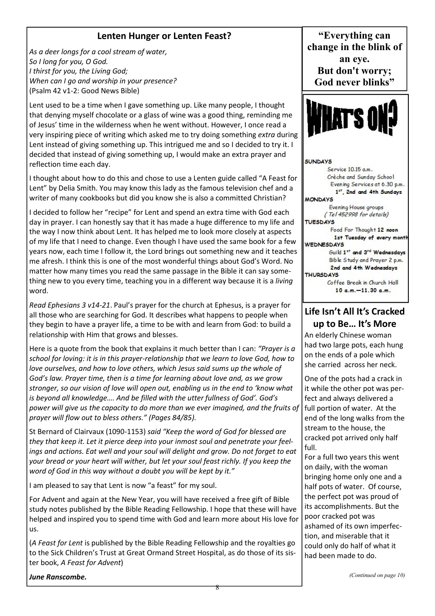## Lenten Hunger or Lenten Feast?

As a deer longs for a cool stream of water, So I long for you, O God. I thirst for you, the Living God; When can I go and worship in your presence? (Psalm 42 v1-2: Good News Bible)

Lent used to be a time when I gave something up. Like many people, I thought that denying myself chocolate or a glass of wine was a good thing, reminding me of Jesus' time in the wilderness when he went without. However, I once read a very inspiring piece of writing which asked me to try doing something extra during Lent instead of giving something up. This intrigued me and so I decided to try it. I decided that instead of giving something up, I would make an extra prayer and reflection time each day.

I thought about how to do this and chose to use a Lenten guide called "A Feast for Lent" by Delia Smith. You may know this lady as the famous television chef and a writer of many cookbooks but did you know she is also a committed Christian?

I decided to follow her "recipe" for Lent and spend an extra time with God each day in prayer. I can honestly say that it has made a huge difference to my life and the way I now think about Lent. It has helped me to look more closely at aspects of my life that I need to change. Even though I have used the same book for a few years now, each time I follow it, the Lord brings out something new and it teaches me afresh. I think this is one of the most wonderful things about God's Word. No matter how many times you read the same passage in the Bible it can say something new to you every time, teaching you in a different way because it is a *living* word.

Read Ephesians 3 v14-21. Paul's prayer for the church at Ephesus, is a prayer for all those who are searching for God. It describes what happens to people when they begin to have a prayer life, a time to be with and learn from God: to build a relationship with Him that grows and blesses.

Here is a quote from the book that explains it much better than I can: "Prayer is a school for loving: it is in this prayer-relationship that we learn to love God, how to love ourselves, and how to love others, which Jesus said sums up the whole of God's law. Prayer time, then is a time for learning about love and, as we grow stronger, so our vision of love will open out, enabling us in the end to 'know what is beyond all knowledge…. And be filled with the utter fullness of God'. God's power will give us the capacity to do more than we ever imagined, and the fruits of prayer will flow out to bless others." (Pages 84/85).

St Bernard of Clairvaux (1090-1153) said "Keep the word of God for blessed are they that keep it. Let it pierce deep into your inmost soul and penetrate your feelings and actions. Eat well and your soul will delight and grow. Do not forget to eat your bread or your heart will wither, but let your soul feast richly. If you keep the word of God in this way without a doubt you will be kept by it."

I am pleased to say that Lent is now "a feast" for my soul.

For Advent and again at the New Year, you will have received a free gift of Bible study notes published by the Bible Reading Fellowship. I hope that these will have helped and inspired you to spend time with God and learn more about His love for us.

(A Feast for Lent is published by the Bible Reading Fellowship and the royalties go to the Sick Children's Trust at Great Ormand Street Hospital, as do those of its sister book, A Feast for Advent)

June Ranscombe.

"Everything can change in the blink of an eye. But don't worry; God never blinks"



| <b>SUNDAYS</b>                |
|-------------------------------|
| Service 10.15 a.m.            |
| Crèche and Sunday School      |
| Evening Services at 6.30 p.m. |
| 1st, 2nd and 4th Sundays      |
| <b>MONDAYS</b>                |
| Evening House groups          |
| (Tel 452998 for details)      |
| <b>TUESDAYS</b>               |
| Food For Thought 12 noon      |
| 1st Tuesday of every mont     |
| <b>WEDNESDAYS</b>             |
| Guild 1st and 3rd Wednesdays  |
| Bible Study and Prayer 2 p.m. |
| 2nd and 4th Wednesdays        |
| <b>THURSDAYS</b>              |
| Coffee Break in Church Hall   |
| $10a.m. -11.30a.m.$           |

## Life Isn't All It's Cracked up to Be… It's More

An elderly Chinese woman had two large pots, each hung on the ends of a pole which she carried across her neck.

One of the pots had a crack in it while the other pot was perfect and always delivered a full portion of water. At the end of the long walks from the stream to the house, the cracked pot arrived only half full.

For a full two years this went on daily, with the woman bringing home only one and a half pots of water. Of course, the perfect pot was proud of its accomplishments. But the poor cracked pot was ashamed of its own imperfection, and miserable that it could only do half of what it had been made to do.

8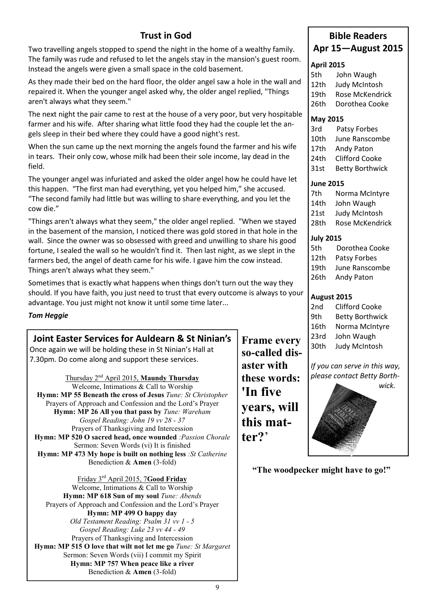## Trust in God

Two travelling angels stopped to spend the night in the home of a wealthy family. The family was rude and refused to let the angels stay in the mansion's guest room. Instead the angels were given a small space in the cold basement.

As they made their bed on the hard floor, the older angel saw a hole in the wall and repaired it. When the younger angel asked why, the older angel replied, "Things aren't always what they seem."

The next night the pair came to rest at the house of a very poor, but very hospitable farmer and his wife. After sharing what little food they had the couple let the angels sleep in their bed where they could have a good night's rest.

When the sun came up the next morning the angels found the farmer and his wife in tears. Their only cow, whose milk had been their sole income, lay dead in the field.

The younger angel was infuriated and asked the older angel how he could have let this happen. "The first man had everything, yet you helped him," she accused. "The second family had little but was willing to share everything, and you let the cow die."

"Things aren't always what they seem," the older angel replied. "When we stayed in the basement of the mansion, I noticed there was gold stored in that hole in the wall. Since the owner was so obsessed with greed and unwilling to share his good fortune, I sealed the wall so he wouldn't find it. Then last night, as we slept in the farmers bed, the angel of death came for his wife. I gave him the cow instead. Things aren't always what they seem."

Sometimes that is exactly what happens when things don't turn out the way they should. If you have faith, you just need to trust that every outcome is always to your advantage. You just might not know it until some time later...

## Tom Heggie

## Joint Easter Services for Auldearn & St Ninian's Once again we will be holding these in St Ninian's Hall at

7.30pm. Do come along and support these services.

Thursday 2<sup>nd</sup> April 2015, Maundy Thursday Welcome, Intimations & Call to Worship Hymn: MP 55 Beneath the cross of Jesus Tune: St Christopher Prayers of Approach and Confession and the Lord's Prayer Hymn: MP 26 All you that pass by Tune: Wareham Gospel Reading: John 19 vv 28 - 37 Prayers of Thanksgiving and Intercession Hymn: MP 520 O sacred head, once wounded :Passion Chorale Sermon: Seven Words (vi) It is finished Hymn: MP 473 My hope is built on nothing less :St Catherine Benediction & Amen (3-fold)

Friday 3rd April 2015, 7Good Friday Welcome, Intimations & Call to Worship Hymn: MP 618 Sun of my soul Tune: Abends Prayers of Approach and Confession and the Lord's Prayer Hymn: MP 499 O happy day Old Testament Reading: Psalm 31 vv 1 - 5 Gospel Reading: Luke 23 vv 44 - 49 Prayers of Thanksgiving and Intercession Hymn: MP 515 O love that wilt not let me go Tune: St Margaret Sermon: Seven Words (vii) I commit my Spirit Hymn: MP 757 When peace like a river Benediction & Amen (3-fold)

Frame every so-called disaster with these words: 'In five years, will this matter?'

## Bible Readers Apr 15—August 2015

## April 2015

5th John Waugh 12th Judy McIntosh 19th Rose McKendrick 26th Dorothea Cooke

## May 2015

- 3rd Patsy Forbes 10th June Ranscombe
- 17th Andy Paton
- 24th Clifford Cooke
- 31st Betty Borthwick

## June 2015

- 7th Norma McIntyre 14th John Waugh 21st Judy McIntosh
- 28th Rose McKendrick

## July 2015

| 5th  | Dorothea Cooke |
|------|----------------|
| 12th | Patsy Forbes   |
| 19th | June Ranscombe |
| 26th | Andy Paton     |

## August 2015

| 2nd  | <b>Clifford Cooke</b>  |
|------|------------------------|
| 9th  | <b>Betty Borthwick</b> |
| 16th | Norma McIntyre         |
| 23rd | John Waugh             |
| 30th | <b>Judy McIntosh</b>   |

If you can serve in this way, please contact Betty Borth-



"The woodpecker might have to go!"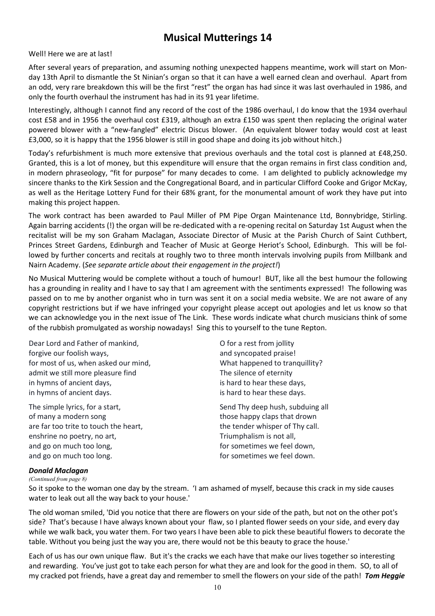# Musical Mutterings 14

#### Well! Here we are at last!

After several years of preparation, and assuming nothing unexpected happens meantime, work will start on Monday 13th April to dismantle the St Ninian's organ so that it can have a well earned clean and overhaul. Apart from an odd, very rare breakdown this will be the first "rest" the organ has had since it was last overhauled in 1986, and only the fourth overhaul the instrument has had in its 91 year lifetime.

Interestingly, although I cannot find any record of the cost of the 1986 overhaul, I do know that the 1934 overhaul cost £58 and in 1956 the overhaul cost £319, although an extra £150 was spent then replacing the original water powered blower with a "new-fangled" electric Discus blower. (An equivalent blower today would cost at least £3,000, so it is happy that the 1956 blower is still in good shape and doing its job without hitch.)

Today's refurbishment is much more extensive that previous overhauls and the total cost is planned at £48,250. Granted, this is a lot of money, but this expenditure will ensure that the organ remains in first class condition and, in modern phraseology, "fit for purpose" for many decades to come. I am delighted to publicly acknowledge my sincere thanks to the Kirk Session and the Congregational Board, and in particular Clifford Cooke and Grigor McKay, as well as the Heritage Lottery Fund for their 68% grant, for the monumental amount of work they have put into making this project happen.

The work contract has been awarded to Paul Miller of PM Pipe Organ Maintenance Ltd, Bonnybridge, Stirling. Again barring accidents (!) the organ will be re-dedicated with a re-opening recital on Saturday 1st August when the recitalist will be my son Graham Maclagan, Associate Director of Music at the Parish Church of Saint Cuthbert, Princes Street Gardens, Edinburgh and Teacher of Music at George Heriot's School, Edinburgh. This will be followed by further concerts and recitals at roughly two to three month intervals involving pupils from Millbank and Nairn Academy. (See separate article about their engagement in the project!)

No Musical Muttering would be complete without a touch of humour! BUT, like all the best humour the following has a grounding in reality and I have to say that I am agreement with the sentiments expressed! The following was passed on to me by another organist who in turn was sent it on a social media website. We are not aware of any copyright restrictions but if we have infringed your copyright please accept out apologies and let us know so that we can acknowledge you in the next issue of The Link. These words indicate what church musicians think of some of the rubbish promulgated as worship nowadays! Sing this to yourself to the tune Repton.

| Dear Lord and Father of mankind,      | O for a rest from jollity        |
|---------------------------------------|----------------------------------|
| forgive our foolish ways,             | and syncopated praise!           |
| for most of us, when asked our mind,  | What happened to tranquillity?   |
| admit we still more pleasure find     | The silence of eternity          |
| in hymns of ancient days,             | is hard to hear these days,      |
| in hymns of ancient days.             | is hard to hear these days.      |
| The simple lyrics, for a start,       | Send Thy deep hush, subduing all |
| of many a modern song                 | those happy claps that drown     |
| are far too trite to touch the heart, | the tender whisper of Thy call.  |
| enshrine no poetry, no art,           | Triumphalism is not all,         |
| and go on much too long,              | for sometimes we feel down,      |
| and go on much too long.              | for sometimes we feel down.      |

#### Donald Maclagan

(Continued from page 8)

So it spoke to the woman one day by the stream. 'I am ashamed of myself, because this crack in my side causes water to leak out all the way back to your house.'

The old woman smiled, 'Did you notice that there are flowers on your side of the path, but not on the other pot's side? That's because I have always known about your flaw, so I planted flower seeds on your side, and every day while we walk back, you water them. For two years I have been able to pick these beautiful flowers to decorate the table. Without you being just the way you are, there would not be this beauty to grace the house.'

Each of us has our own unique flaw. But it's the cracks we each have that make our lives together so interesting and rewarding. You've just got to take each person for what they are and look for the good in them. SO, to all of my cracked pot friends, have a great day and remember to smell the flowers on your side of the path! Tom Heggie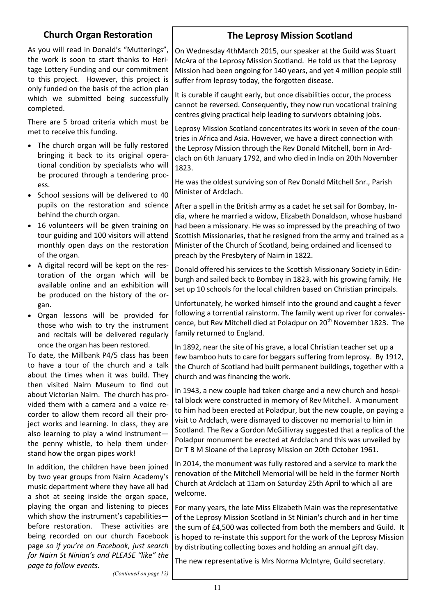## Church Organ Restoration

As you will read in Donald's "Mutterings", the work is soon to start thanks to Heritage Lottery Funding and our commitment to this project. However, this project is only funded on the basis of the action plan which we submitted being successfully completed.

There are 5 broad criteria which must be met to receive this funding.

- The church organ will be fully restored bringing it back to its original operational condition by specialists who will be procured through a tendering process.
- School sessions will be delivered to 40 pupils on the restoration and science behind the church organ.
- 16 volunteers will be given training on tour guiding and 100 visitors will attend monthly open days on the restoration of the organ.
- A digital record will be kept on the restoration of the organ which will be available online and an exhibition will be produced on the history of the organ.
- Organ lessons will be provided for those who wish to try the instrument and recitals will be delivered regularly once the organ has been restored.

To date, the Millbank P4/5 class has been to have a tour of the church and a talk about the times when it was build. They then visited Nairn Museum to find out about Victorian Nairn. The church has provided them with a camera and a voice recorder to allow them record all their project works and learning. In class, they are also learning to play a wind instrument the penny whistle, to help them understand how the organ pipes work!

In addition, the children have been joined by two year groups from Nairn Academy's music department where they have all had a shot at seeing inside the organ space, playing the organ and listening to pieces which show the instrument's capabilitiesbefore restoration. These activities are being recorded on our church Facebook page so if you're on Facebook, just search for Nairn St Ninian's and PLEASE "like" the page to follow events.

## The Leprosy Mission Scotland

On Wednesday 4thMarch 2015, our speaker at the Guild was Stuart McAra of the Leprosy Mission Scotland. He told us that the Leprosy Mission had been ongoing for 140 years, and yet 4 million people still suffer from leprosy today, the forgotten disease.

It is curable if caught early, but once disabilities occur, the process cannot be reversed. Consequently, they now run vocational training centres giving practical help leading to survivors obtaining jobs.

Leprosy Mission Scotland concentrates its work in seven of the countries in Africa and Asia. However, we have a direct connection with the Leprosy Mission through the Rev Donald Mitchell, born in Ardclach on 6th January 1792, and who died in India on 20th November 1823.

He was the oldest surviving son of Rev Donald Mitchell Snr., Parish Minister of Ardclach.

After a spell in the British army as a cadet he set sail for Bombay, India, where he married a widow, Elizabeth Donaldson, whose husband had been a missionary. He was so impressed by the preaching of two Scottish Missionaries, that he resigned from the army and trained as a Minister of the Church of Scotland, being ordained and licensed to preach by the Presbytery of Nairn in 1822.

Donald offered his services to the Scottish Missionary Society in Edinburgh and sailed back to Bombay in 1823, with his growing family. He set up 10 schools for the local children based on Christian principals.

Unfortunately, he worked himself into the ground and caught a fever following a torrential rainstorm. The family went up river for convalescence, but Rev Mitchell died at Poladpur on 20<sup>th</sup> November 1823. The family returned to England.

In 1892, near the site of his grave, a local Christian teacher set up a few bamboo huts to care for beggars suffering from leprosy. By 1912, the Church of Scotland had built permanent buildings, together with a church and was financing the work.

In 1943, a new couple had taken charge and a new church and hospital block were constructed in memory of Rev Mitchell. A monument to him had been erected at Poladpur, but the new couple, on paying a visit to Ardclach, were dismayed to discover no memorial to him in Scotland. The Rev a Gordon McGillivray suggested that a replica of the Poladpur monument be erected at Ardclach and this was unveiled by Dr T B M Sloane of the Leprosy Mission on 20th October 1961.

In 2014, the monument was fully restored and a service to mark the renovation of the Mitchell Memorial will be held in the former North Church at Ardclach at 11am on Saturday 25th April to which all are welcome.

For many years, the late Miss Elizabeth Main was the representative of the Leprosy Mission Scotland in St Ninian's church and in her time the sum of £4,500 was collected from both the members and Guild. It is hoped to re-instate this support for the work of the Leprosy Mission by distributing collecting boxes and holding an annual gift day.

The new representative is Mrs Norma McIntyre, Guild secretary.

(Continued on page 12)